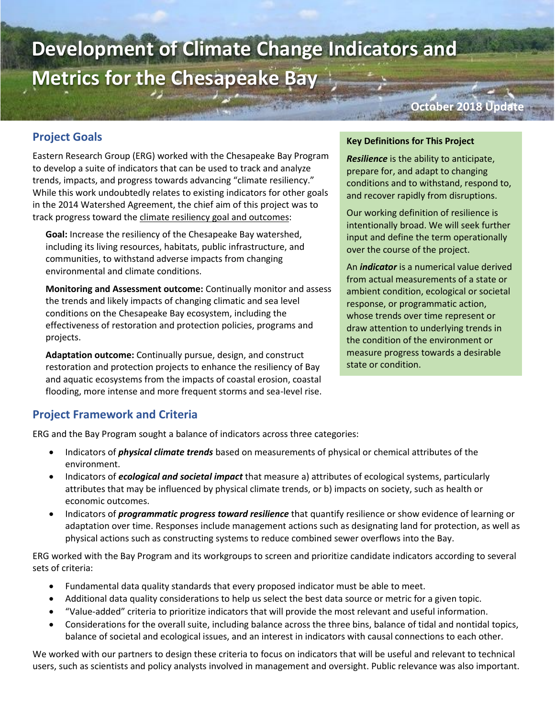# **Development of Climate Change Indicators and Metrics for the Chesapeake Bay**

#### **October 2018 Update**

# **Project Goals**

Eastern Research Group (ERG) worked with the Chesapeake Bay Program to develop a suite of indicators that can be used to track and analyze trends, impacts, and progress towards advancing "climate resiliency." While this work undoubtedly relates to existing indicators for other goals in the 2014 Watershed Agreement, the chief aim of this project was to track progress toward the climate resiliency goal and outcomes:

**Goal:** Increase the resiliency of the Chesapeake Bay watershed, including its living resources, habitats, public infrastructure, and communities, to withstand adverse impacts from changing environmental and climate conditions.

**Monitoring and Assessment outcome:** Continually monitor and assess the trends and likely impacts of changing climatic and sea level conditions on the Chesapeake Bay ecosystem, including the effectiveness of restoration and protection policies, programs and projects.

**Adaptation outcome:** Continually pursue, design, and construct restoration and protection projects to enhance the resiliency of Bay and aquatic ecosystems from the impacts of coastal erosion, coastal flooding, more intense and more frequent storms and sea-level rise.

#### **Key Definitions for This Project**

*Resilience* is the ability to anticipate, prepare for, and adapt to changing conditions and to withstand, respond to, and recover rapidly from disruptions.

Our working definition of resilience is intentionally broad. We will seek further input and define the term operationally over the course of the project.

An *indicator* is a numerical value derived from actual measurements of a state or ambient condition, ecological or societal response, or programmatic action, whose trends over time represent or draw attention to underlying trends in the condition of the environment or measure progress towards a desirable state or condition.

### **Project Framework and Criteria**

ERG and the Bay Program sought a balance of indicators across three categories:

- Indicators of *physical climate trends* based on measurements of physical or chemical attributes of the environment.
- Indicators of *ecological and societal impact* that measure a) attributes of ecological systems, particularly attributes that may be influenced by physical climate trends, or b) impacts on society, such as health or economic outcomes.
- Indicators of *programmatic progress toward resilience* that quantify resilience or show evidence of learning or adaptation over time. Responses include management actions such as designating land for protection, as well as physical actions such as constructing systems to reduce combined sewer overflows into the Bay.

ERG worked with the Bay Program and its workgroups to screen and prioritize candidate indicators according to several sets of criteria:

- Fundamental data quality standards that every proposed indicator must be able to meet.
- Additional data quality considerations to help us select the best data source or metric for a given topic.
- "Value-added" criteria to prioritize indicators that will provide the most relevant and useful information.
- Considerations for the overall suite, including balance across the three bins, balance of tidal and nontidal topics, balance of societal and ecological issues, and an interest in indicators with causal connections to each other.

We worked with our partners to design these criteria to focus on indicators that will be useful and relevant to technical users, such as scientists and policy analysts involved in management and oversight. Public relevance was also important.